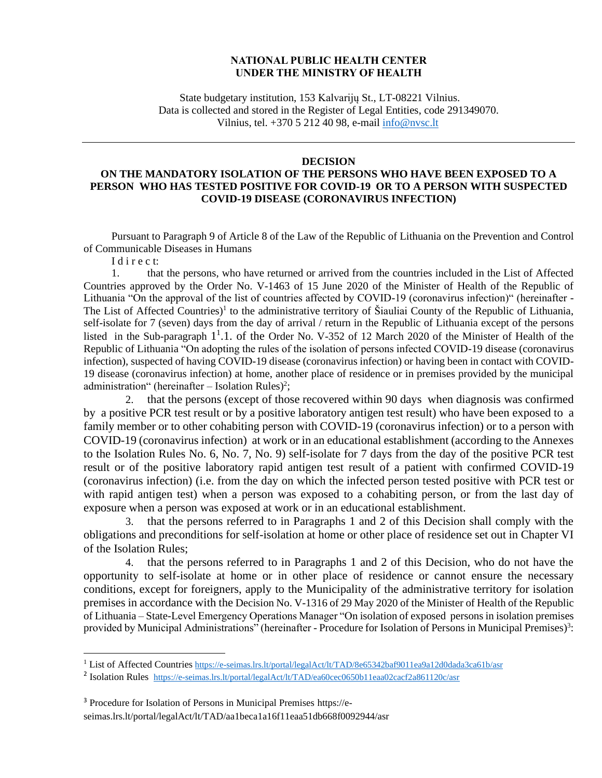## **NATIONAL PUBLIC HEALTH CENTER UNDER THE MINISTRY OF HEALTH**

State budgetary institution, 153 Kalvarijų St., LT-08221 Vilnius. Data is collected and stored in the Register of Legal Entities, code 291349070. Vilnius, tel. +370 5 212 40 98, e-mail [info@nvsc.lt](mailto:info@nvsc.lt)

## **DECISION**

## **ON THE MANDATORY ISOLATION OF THE PERSONS WHO HAVE BEEN EXPOSED TO A PERSON WHO HAS TESTED POSITIVE FOR COVID-19 OR TO A PERSON WITH SUSPECTED COVID-19 DISEASE (CORONAVIRUS INFECTION)**

Pursuant to Paragraph 9 of Article 8 of the Law of the Republic of Lithuania on the Prevention and Control of Communicable Diseases in Humans

I d i r e c t:

1. that the persons, who have returned or arrived from the countries included in the List of Affected Countries approved by the Order No. V-1463 of 15 June 2020 of the Minister of Health of the Republic of Lithuania "On the approval of the list of countries affected by COVID-19 (coronavirus infection)" (hereinafter - The List of Affected Countries)<sup>1</sup> to the administrative territory of Šiauliai County of the Republic of Lithuania, self-isolate for 7 (seven) days from the day of arrival / return in the Republic of Lithuania except of the persons listed in the Sub-paragraph 1<sup>1</sup>.1. of the Order No. V-352 of 12 March 2020 of the Minister of Health of the Republic of Lithuania "On adopting the rules of the isolation of persons infected COVID-19 disease (coronavirus infection), suspected of having COVID-19 disease (coronavirus infection) or having been in contact with COVID-19 disease (coronavirus infection) at home, another place of residence or in premises provided by the municipal administration" (hereinafter  $-$  Isolation Rules)<sup>2</sup>;

2. that the persons (except of those recovered within 90 days when diagnosis was confirmed by a positive PCR test result or by a positive laboratory antigen test result) who have been exposed to a family member or to other cohabiting person with COVID-19 (coronavirus infection) or to a person with COVID-19 (coronavirus infection) at work or in an educational establishment (according to the Annexes to the Isolation Rules No. 6, No. 7, No. 9) self-isolate for 7 days from the day of the positive PCR test result or of the positive laboratory rapid antigen test result of a patient with confirmed COVID-19 (coronavirus infection) (i.e. from the day on which the infected person tested positive with PCR test or with rapid antigen test) when a person was exposed to a cohabiting person, or from the last day of exposure when a person was exposed at work or in an educational establishment.

3. that the persons referred to in Paragraphs 1 and 2 of this Decision shall comply with the obligations and preconditions for self-isolation at home or other place of residence set out in Chapter VI of the Isolation Rules;

4. that the persons referred to in Paragraphs 1 and 2 of this Decision, who do not have the opportunity to self-isolate at home or in other place of residence or cannot ensure the necessary conditions, except for foreigners, apply to the Municipality of the administrative territory for isolation premises in accordance with the Decision No. V-1316 of 29 May 2020 of the Minister of Health of the Republic of Lithuania – State-Level Emergency Operations Manager "On isolation of exposed persons in isolation premises provided by Municipal Administrations" (hereinafter - Procedure for Isolation of Persons in Municipal Premises)<sup>3</sup>:

<sup>&</sup>lt;sup>1</sup> List of Affected Countries <https://e-seimas.lrs.lt/portal/legalAct/lt/TAD/8e65342baf9011ea9a12d0dada3ca61b/asr>

<sup>&</sup>lt;sup>2</sup> Isolation Rules <https://e-seimas.lrs.lt/portal/legalAct/lt/TAD/ea60cec0650b11eaa02cacf2a861120c/asr>

<sup>3</sup> Procedure for Isolation of Persons in Municipal Premises https://eseimas.lrs.lt/portal/legalAct/lt/TAD/aa1beca1a16f11eaa51db668f0092944/asr